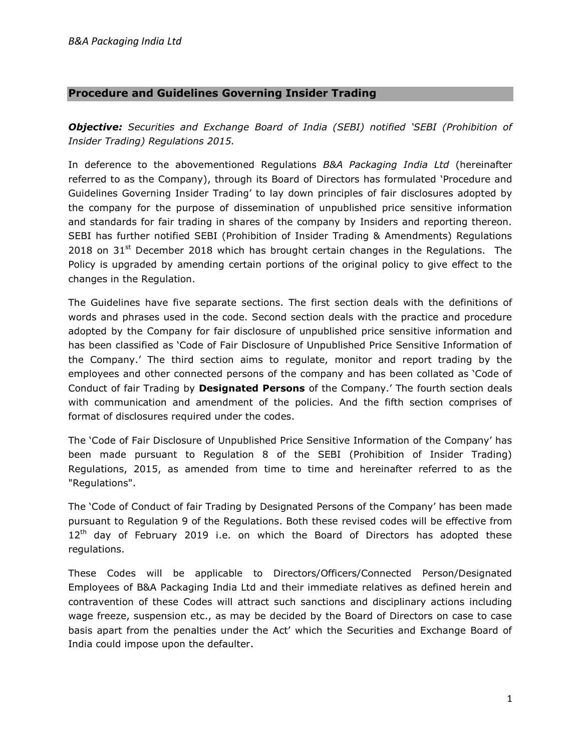# Procedure and Guidelines Governing Insider Trading

**Objective:** Securities and Exchange Board of India (SEBI) notified 'SEBI (Prohibition of Insider Trading) Regulations 2015.

In deference to the abovementioned Regulations B&A Packaging India Ltd (hereinafter referred to as the Company), through its Board of Directors has formulated 'Procedure and Guidelines Governing Insider Trading' to lay down principles of fair disclosures adopted by the company for the purpose of dissemination of unpublished price sensitive information and standards for fair trading in shares of the company by Insiders and reporting thereon. SEBI has further notified SEBI (Prohibition of Insider Trading & Amendments) Regulations 2018 on  $31^{st}$  December 2018 which has brought certain changes in the Regulations. The Policy is upgraded by amending certain portions of the original policy to give effect to the changes in the Regulation.

The Guidelines have five separate sections. The first section deals with the definitions of words and phrases used in the code. Second section deals with the practice and procedure adopted by the Company for fair disclosure of unpublished price sensitive information and has been classified as 'Code of Fair Disclosure of Unpublished Price Sensitive Information of the Company.' The third section aims to regulate, monitor and report trading by the employees and other connected persons of the company and has been collated as 'Code of Conduct of fair Trading by **Designated Persons** of the Company.' The fourth section deals with communication and amendment of the policies. And the fifth section comprises of format of disclosures required under the codes.

The 'Code of Fair Disclosure of Unpublished Price Sensitive Information of the Company' has been made pursuant to Regulation 8 of the SEBI (Prohibition of Insider Trading) Regulations, 2015, as amended from time to time and hereinafter referred to as the "Regulations".

The 'Code of Conduct of fair Trading by Designated Persons of the Company' has been made pursuant to Regulation 9 of the Regulations. Both these revised codes will be effective from  $12<sup>th</sup>$  day of February 2019 i.e. on which the Board of Directors has adopted these regulations.

These Codes will be applicable to Directors/Officers/Connected Person/Designated Employees of B&A Packaging India Ltd and their immediate relatives as defined herein and contravention of these Codes will attract such sanctions and disciplinary actions including wage freeze, suspension etc., as may be decided by the Board of Directors on case to case basis apart from the penalties under the Act' which the Securities and Exchange Board of India could impose upon the defaulter.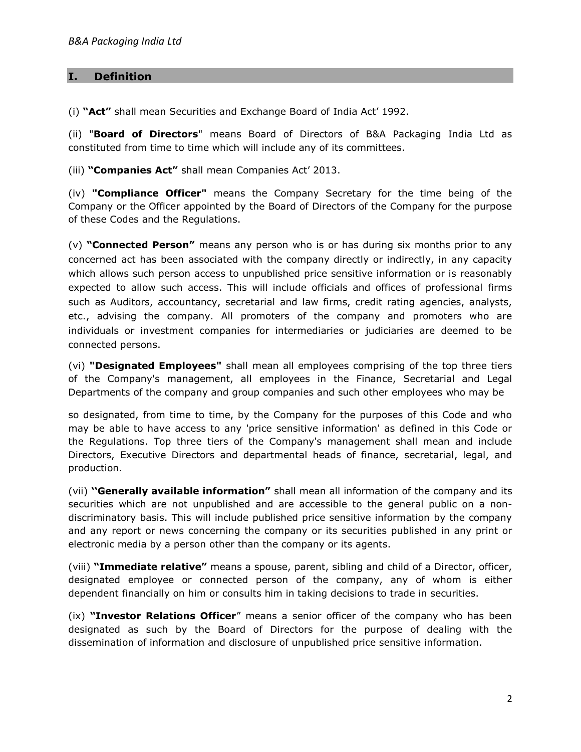# I. Definition

(i) "Act" shall mean Securities and Exchange Board of India Act' 1992.

(ii) "Board of Directors" means Board of Directors of B&A Packaging India Ltd as constituted from time to time which will include any of its committees.

(iii) "Companies Act" shall mean Companies Act' 2013.

(iv) "Compliance Officer" means the Company Secretary for the time being of the Company or the Officer appointed by the Board of Directors of the Company for the purpose of these Codes and the Regulations.

(v) "Connected Person" means any person who is or has during six months prior to any concerned act has been associated with the company directly or indirectly, in any capacity which allows such person access to unpublished price sensitive information or is reasonably expected to allow such access. This will include officials and offices of professional firms such as Auditors, accountancy, secretarial and law firms, credit rating agencies, analysts, etc., advising the company. All promoters of the company and promoters who are individuals or investment companies for intermediaries or judiciaries are deemed to be connected persons.

(vi) "Designated Employees" shall mean all employees comprising of the top three tiers of the Company's management, all employees in the Finance, Secretarial and Legal Departments of the company and group companies and such other employees who may be

so designated, from time to time, by the Company for the purposes of this Code and who may be able to have access to any 'price sensitive information' as defined in this Code or the Regulations. Top three tiers of the Company's management shall mean and include Directors, Executive Directors and departmental heads of finance, secretarial, legal, and production.

(vii) "Generally available information" shall mean all information of the company and its securities which are not unpublished and are accessible to the general public on a nondiscriminatory basis. This will include published price sensitive information by the company and any report or news concerning the company or its securities published in any print or electronic media by a person other than the company or its agents.

(viii) "Immediate relative" means a spouse, parent, sibling and child of a Director, officer, designated employee or connected person of the company, any of whom is either dependent financially on him or consults him in taking decisions to trade in securities.

(ix) "Investor Relations Officer" means a senior officer of the company who has been designated as such by the Board of Directors for the purpose of dealing with the dissemination of information and disclosure of unpublished price sensitive information.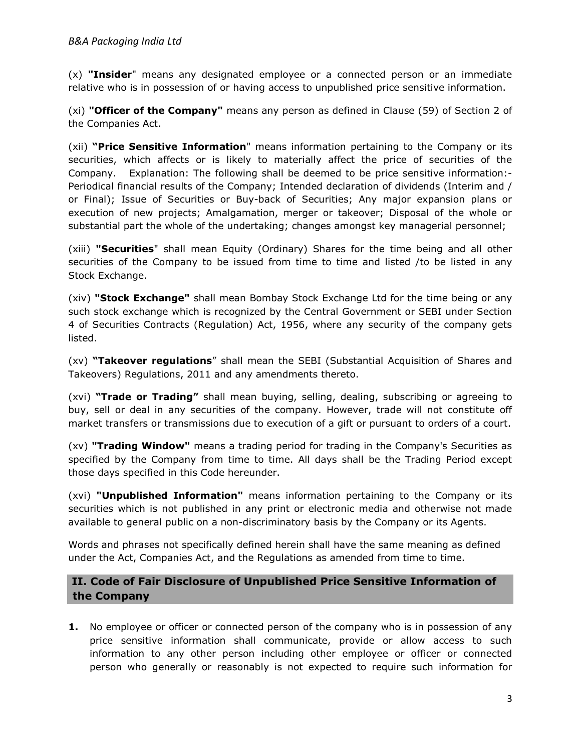$(x)$  "Insider" means any designated employee or a connected person or an immediate relative who is in possession of or having access to unpublished price sensitive information.

(xi) "Officer of the Company" means any person as defined in Clause (59) of Section 2 of the Companies Act.

(xii) "Price Sensitive Information" means information pertaining to the Company or its securities, which affects or is likely to materially affect the price of securities of the Company. Explanation: The following shall be deemed to be price sensitive information:- Periodical financial results of the Company; Intended declaration of dividends (Interim and / or Final); Issue of Securities or Buy-back of Securities; Any major expansion plans or execution of new projects; Amalgamation, merger or takeover; Disposal of the whole or substantial part the whole of the undertaking; changes amongst key managerial personnel;

(xiii) "Securities" shall mean Equity (Ordinary) Shares for the time being and all other securities of the Company to be issued from time to time and listed /to be listed in any Stock Exchange.

(xiv) "Stock Exchange" shall mean Bombay Stock Exchange Ltd for the time being or any such stock exchange which is recognized by the Central Government or SEBI under Section 4 of Securities Contracts (Regulation) Act, 1956, where any security of the company gets listed.

(xv) "Takeover regulations" shall mean the SEBI (Substantial Acquisition of Shares and Takeovers) Regulations, 2011 and any amendments thereto.

(xvi) "Trade or Trading" shall mean buying, selling, dealing, subscribing or agreeing to buy, sell or deal in any securities of the company. However, trade will not constitute off market transfers or transmissions due to execution of a gift or pursuant to orders of a court.

(xv) **"Trading Window"** means a trading period for trading in the Company's Securities as specified by the Company from time to time. All days shall be the Trading Period except those days specified in this Code hereunder.

(xvi) "Unpublished Information" means information pertaining to the Company or its securities which is not published in any print or electronic media and otherwise not made available to general public on a non-discriminatory basis by the Company or its Agents.

Words and phrases not specifically defined herein shall have the same meaning as defined under the Act, Companies Act, and the Regulations as amended from time to time.

# II. Code of Fair Disclosure of Unpublished Price Sensitive Information of the Company

**1.** No employee or officer or connected person of the company who is in possession of any price sensitive information shall communicate, provide or allow access to such information to any other person including other employee or officer or connected person who generally or reasonably is not expected to require such information for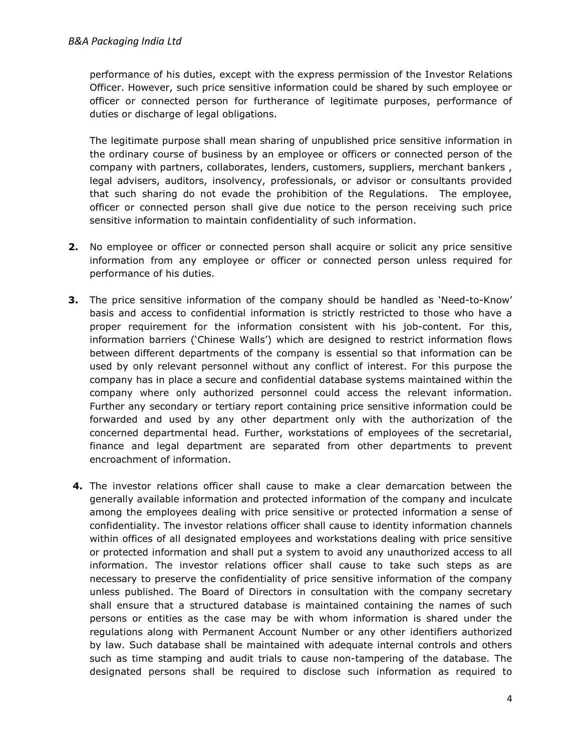performance of his duties, except with the express permission of the Investor Relations Officer. However, such price sensitive information could be shared by such employee or officer or connected person for furtherance of legitimate purposes, performance of duties or discharge of legal obligations.

The legitimate purpose shall mean sharing of unpublished price sensitive information in the ordinary course of business by an employee or officers or connected person of the company with partners, collaborates, lenders, customers, suppliers, merchant bankers , legal advisers, auditors, insolvency, professionals, or advisor or consultants provided that such sharing do not evade the prohibition of the Regulations. The employee, officer or connected person shall give due notice to the person receiving such price sensitive information to maintain confidentiality of such information.

- 2. No employee or officer or connected person shall acquire or solicit any price sensitive information from any employee or officer or connected person unless required for performance of his duties.
- **3.** The price sensitive information of the company should be handled as 'Need-to-Know' basis and access to confidential information is strictly restricted to those who have a proper requirement for the information consistent with his job-content. For this, information barriers ('Chinese Walls') which are designed to restrict information flows between different departments of the company is essential so that information can be used by only relevant personnel without any conflict of interest. For this purpose the company has in place a secure and confidential database systems maintained within the company where only authorized personnel could access the relevant information. Further any secondary or tertiary report containing price sensitive information could be forwarded and used by any other department only with the authorization of the concerned departmental head. Further, workstations of employees of the secretarial, finance and legal department are separated from other departments to prevent encroachment of information.
- 4. The investor relations officer shall cause to make a clear demarcation between the generally available information and protected information of the company and inculcate among the employees dealing with price sensitive or protected information a sense of confidentiality. The investor relations officer shall cause to identity information channels within offices of all designated employees and workstations dealing with price sensitive or protected information and shall put a system to avoid any unauthorized access to all information. The investor relations officer shall cause to take such steps as are necessary to preserve the confidentiality of price sensitive information of the company unless published. The Board of Directors in consultation with the company secretary shall ensure that a structured database is maintained containing the names of such persons or entities as the case may be with whom information is shared under the regulations along with Permanent Account Number or any other identifiers authorized by law. Such database shall be maintained with adequate internal controls and others such as time stamping and audit trials to cause non-tampering of the database. The designated persons shall be required to disclose such information as required to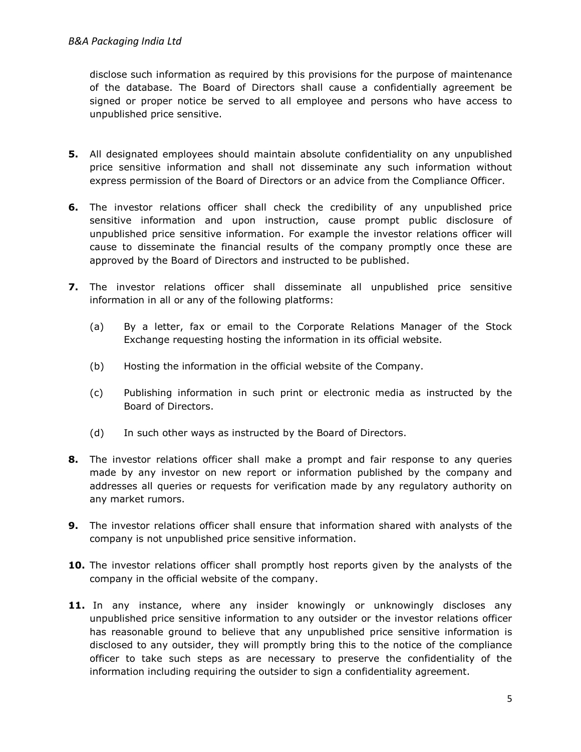disclose such information as required by this provisions for the purpose of maintenance of the database. The Board of Directors shall cause a confidentially agreement be signed or proper notice be served to all employee and persons who have access to unpublished price sensitive.

- 5. All designated employees should maintain absolute confidentiality on any unpublished price sensitive information and shall not disseminate any such information without express permission of the Board of Directors or an advice from the Compliance Officer.
- 6. The investor relations officer shall check the credibility of any unpublished price sensitive information and upon instruction, cause prompt public disclosure of unpublished price sensitive information. For example the investor relations officer will cause to disseminate the financial results of the company promptly once these are approved by the Board of Directors and instructed to be published.
- 7. The investor relations officer shall disseminate all unpublished price sensitive information in all or any of the following platforms:
	- (a) By a letter, fax or email to the Corporate Relations Manager of the Stock Exchange requesting hosting the information in its official website.
	- (b) Hosting the information in the official website of the Company.
	- (c) Publishing information in such print or electronic media as instructed by the Board of Directors.
	- (d) In such other ways as instructed by the Board of Directors.
- 8. The investor relations officer shall make a prompt and fair response to any queries made by any investor on new report or information published by the company and addresses all queries or requests for verification made by any regulatory authority on any market rumors.
- **9.** The investor relations officer shall ensure that information shared with analysts of the company is not unpublished price sensitive information.
- 10. The investor relations officer shall promptly host reports given by the analysts of the company in the official website of the company.
- 11. In any instance, where any insider knowingly or unknowingly discloses any unpublished price sensitive information to any outsider or the investor relations officer has reasonable ground to believe that any unpublished price sensitive information is disclosed to any outsider, they will promptly bring this to the notice of the compliance officer to take such steps as are necessary to preserve the confidentiality of the information including requiring the outsider to sign a confidentiality agreement.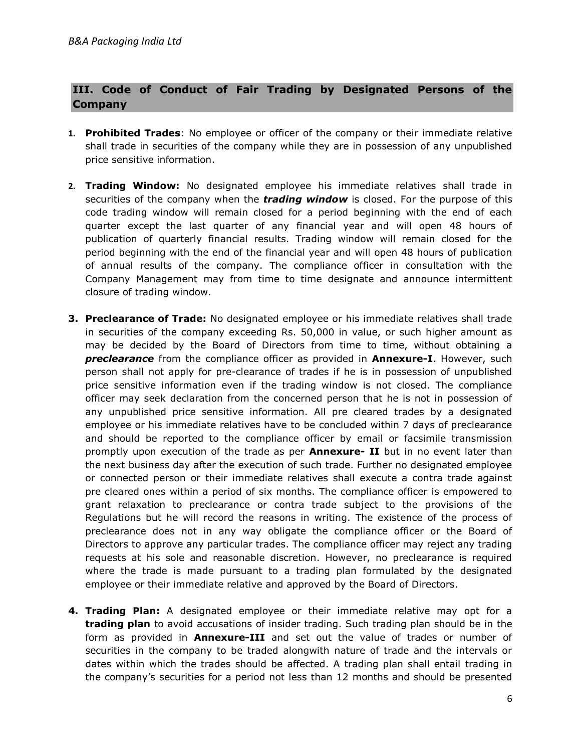# III. Code of Conduct of Fair Trading by Designated Persons of the Company

- 1. Prohibited Trades: No employee or officer of the company or their immediate relative shall trade in securities of the company while they are in possession of any unpublished price sensitive information.
- 2. Trading Window: No designated employee his immediate relatives shall trade in securities of the company when the **trading window** is closed. For the purpose of this code trading window will remain closed for a period beginning with the end of each quarter except the last quarter of any financial year and will open 48 hours of publication of quarterly financial results. Trading window will remain closed for the period beginning with the end of the financial year and will open 48 hours of publication of annual results of the company. The compliance officer in consultation with the Company Management may from time to time designate and announce intermittent closure of trading window.
- **3. Preclearance of Trade:** No designated employee or his immediate relatives shall trade in securities of the company exceeding Rs. 50,000 in value, or such higher amount as may be decided by the Board of Directors from time to time, without obtaining a preclearance from the compliance officer as provided in **Annexure-I**. However, such person shall not apply for pre-clearance of trades if he is in possession of unpublished price sensitive information even if the trading window is not closed. The compliance officer may seek declaration from the concerned person that he is not in possession of any unpublished price sensitive information. All pre cleared trades by a designated employee or his immediate relatives have to be concluded within 7 days of preclearance and should be reported to the compliance officer by email or facsimile transmission promptly upon execution of the trade as per **Annexure- II** but in no event later than the next business day after the execution of such trade. Further no designated employee or connected person or their immediate relatives shall execute a contra trade against pre cleared ones within a period of six months. The compliance officer is empowered to grant relaxation to preclearance or contra trade subject to the provisions of the Regulations but he will record the reasons in writing. The existence of the process of preclearance does not in any way obligate the compliance officer or the Board of Directors to approve any particular trades. The compliance officer may reject any trading requests at his sole and reasonable discretion. However, no preclearance is required where the trade is made pursuant to a trading plan formulated by the designated employee or their immediate relative and approved by the Board of Directors.
- 4. Trading Plan: A designated employee or their immediate relative may opt for a **trading plan** to avoid accusations of insider trading. Such trading plan should be in the form as provided in **Annexure-III** and set out the value of trades or number of securities in the company to be traded alongwith nature of trade and the intervals or dates within which the trades should be affected. A trading plan shall entail trading in the company's securities for a period not less than 12 months and should be presented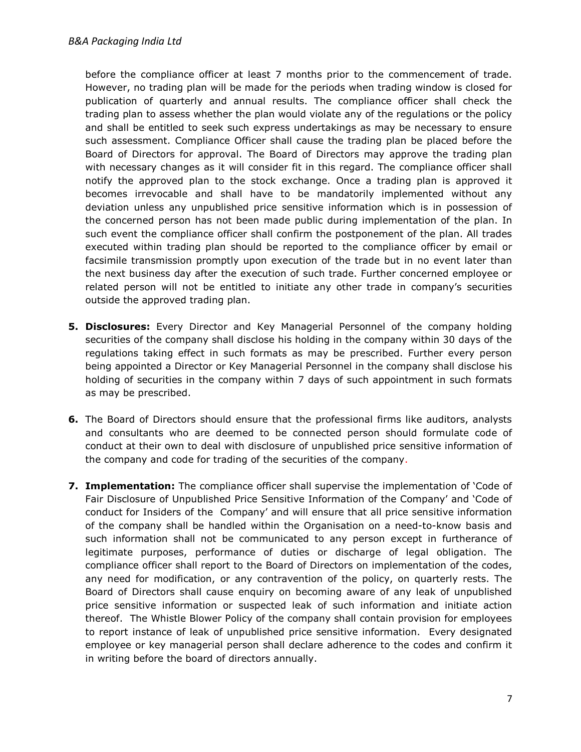before the compliance officer at least 7 months prior to the commencement of trade. However, no trading plan will be made for the periods when trading window is closed for publication of quarterly and annual results. The compliance officer shall check the trading plan to assess whether the plan would violate any of the regulations or the policy and shall be entitled to seek such express undertakings as may be necessary to ensure such assessment. Compliance Officer shall cause the trading plan be placed before the Board of Directors for approval. The Board of Directors may approve the trading plan with necessary changes as it will consider fit in this regard. The compliance officer shall notify the approved plan to the stock exchange. Once a trading plan is approved it becomes irrevocable and shall have to be mandatorily implemented without any deviation unless any unpublished price sensitive information which is in possession of the concerned person has not been made public during implementation of the plan. In such event the compliance officer shall confirm the postponement of the plan. All trades executed within trading plan should be reported to the compliance officer by email or facsimile transmission promptly upon execution of the trade but in no event later than the next business day after the execution of such trade. Further concerned employee or related person will not be entitled to initiate any other trade in company's securities outside the approved trading plan.

- **5. Disclosures:** Every Director and Key Managerial Personnel of the company holding securities of the company shall disclose his holding in the company within 30 days of the regulations taking effect in such formats as may be prescribed. Further every person being appointed a Director or Key Managerial Personnel in the company shall disclose his holding of securities in the company within 7 days of such appointment in such formats as may be prescribed.
- 6. The Board of Directors should ensure that the professional firms like auditors, analysts and consultants who are deemed to be connected person should formulate code of conduct at their own to deal with disclosure of unpublished price sensitive information of the company and code for trading of the securities of the company.
- 7. Implementation: The compliance officer shall supervise the implementation of 'Code of Fair Disclosure of Unpublished Price Sensitive Information of the Company' and 'Code of conduct for Insiders of the Company' and will ensure that all price sensitive information of the company shall be handled within the Organisation on a need-to-know basis and such information shall not be communicated to any person except in furtherance of legitimate purposes, performance of duties or discharge of legal obligation. The compliance officer shall report to the Board of Directors on implementation of the codes, any need for modification, or any contravention of the policy, on quarterly rests. The Board of Directors shall cause enquiry on becoming aware of any leak of unpublished price sensitive information or suspected leak of such information and initiate action thereof. The Whistle Blower Policy of the company shall contain provision for employees to report instance of leak of unpublished price sensitive information. Every designated employee or key managerial person shall declare adherence to the codes and confirm it in writing before the board of directors annually.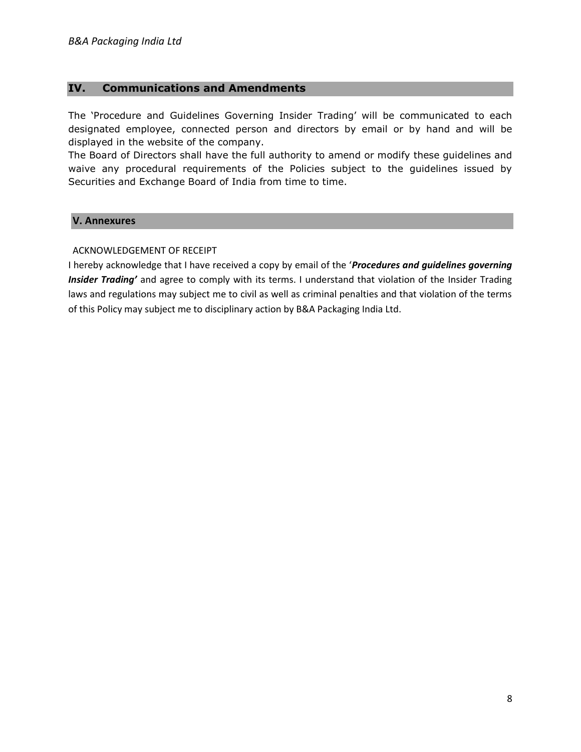## IV. Communications and Amendments

The 'Procedure and Guidelines Governing Insider Trading' will be communicated to each designated employee, connected person and directors by email or by hand and will be displayed in the website of the company.

The Board of Directors shall have the full authority to amend or modify these guidelines and waive any procedural requirements of the Policies subject to the guidelines issued by Securities and Exchange Board of India from time to time.

## V. Annexures

## ACKNOWLEDGEMENT OF RECEIPT

I hereby acknowledge that I have received a copy by email of the 'Procedures and guidelines governing Insider Trading' and agree to comply with its terms. I understand that violation of the Insider Trading laws and regulations may subject me to civil as well as criminal penalties and that violation of the terms of this Policy may subject me to disciplinary action by B&A Packaging India Ltd.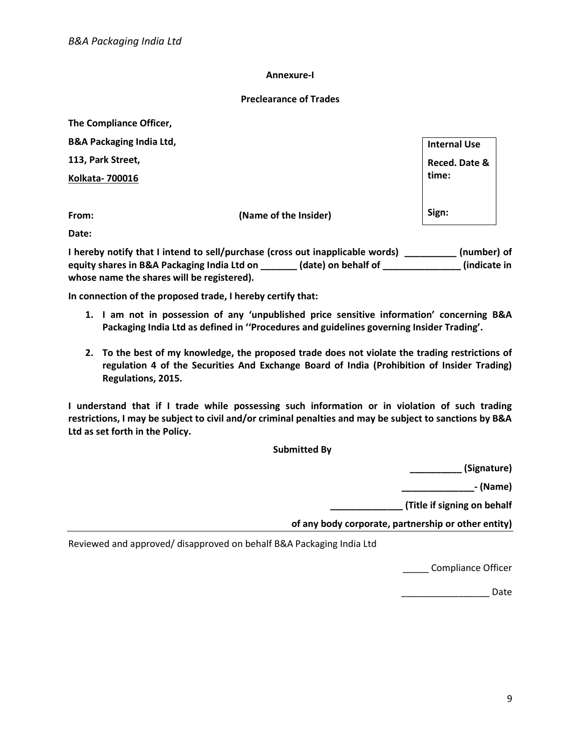### Annexure-I

### Preclearance of Trades

The Compliance Officer,

B&A Packaging India Ltd, 113, Park Street, Kolkata- 700016 From: (Name of the Insider) Internal Use Reced. Date & time: Sign:

Date:

I hereby notify that I intend to sell/purchase (cross out inapplicable words) \_\_\_\_\_\_\_\_\_\_ (number) of equity shares in B&A Packaging India Ltd on \_\_\_\_\_\_\_ (date) on behalf of \_\_\_\_\_\_\_\_\_\_\_\_\_\_\_\_\_(indicate in whose name the shares will be registered).

In connection of the proposed trade, I hereby certify that:

- 1. I am not in possession of any 'unpublished price sensitive information' concerning B&A Packaging India Ltd as defined in ''Procedures and guidelines governing Insider Trading'.
- 2. To the best of my knowledge, the proposed trade does not violate the trading restrictions of regulation 4 of the Securities And Exchange Board of India (Prohibition of Insider Trading) Regulations, 2015.

I understand that if I trade while possessing such information or in violation of such trading restrictions, I may be subject to civil and/or criminal penalties and may be subject to sanctions by B&A Ltd as set forth in the Policy.

Submitted By

\_\_\_\_\_\_\_\_\_\_ (Signature)

 $-$  (Name)

\_\_\_\_\_\_\_\_\_\_\_\_\_\_ (Title if signing on behalf

of any body corporate, partnership or other entity)

Reviewed and approved/ disapproved on behalf B&A Packaging India Ltd

\_\_\_\_\_ Compliance Officer

\_\_\_\_\_\_\_\_\_\_\_\_\_\_\_\_\_ Date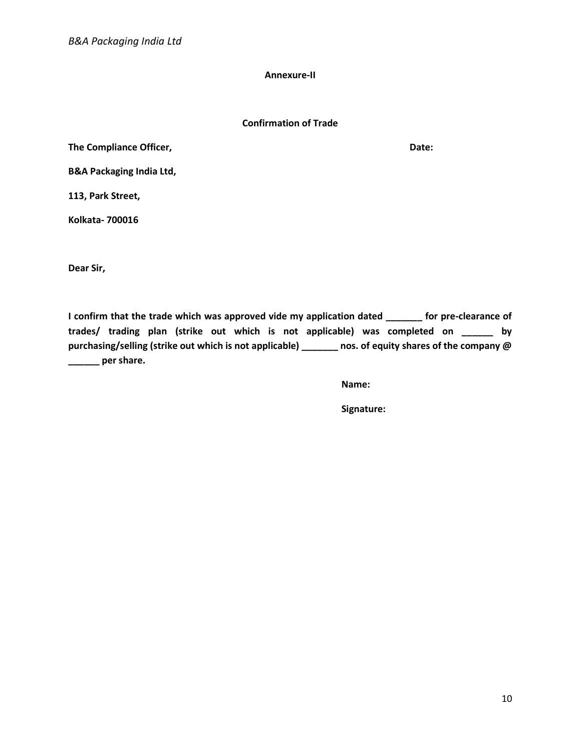Annexure-II

### Confirmation of Trade

The Compliance Officer,  $\qquad \qquad$  Date:

B&A Packaging India Ltd,

113, Park Street,

Kolkata- 700016

Dear Sir,

I confirm that the trade which was approved vide my application dated \_\_\_\_\_\_\_ for pre-clearance of trades/ trading plan (strike out which is not applicable) was completed on \_\_\_\_\_\_ by purchasing/selling (strike out which is not applicable) \_\_\_\_\_\_ nos. of equity shares of the company @ **\_\_\_\_\_** per share.

Name:

Signature: